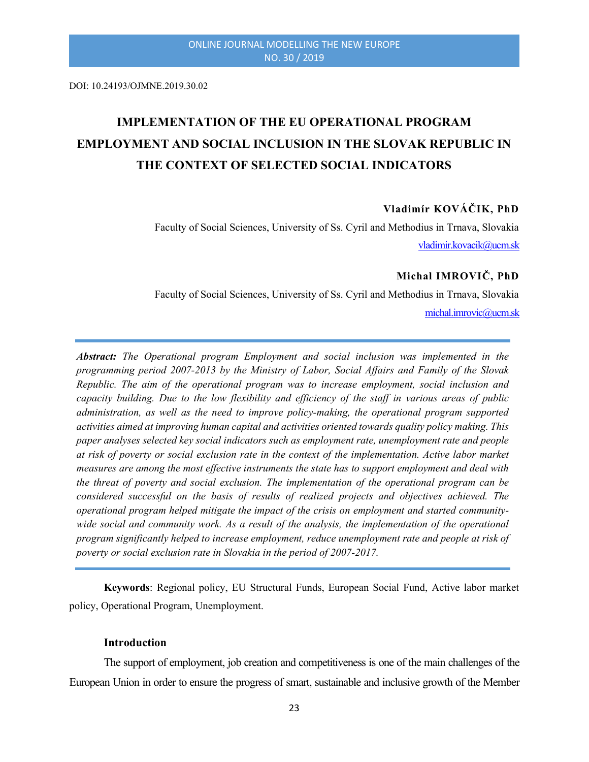DOI: 10.24193/OJMNE.2019.30.02

# IMPLEMENTATION OF THE EU OPERATIONAL PROGRAM EMPLOYMENT AND SOCIAL INCLUSION IN THE SLOVAK REPUBLIC IN THE CONTEXT OF SELECTED SOCIAL INDICATORS

# Vladimír KOVÁČIK, PhD

Faculty of Social Sciences, University of Ss. Cyril and Methodius in Trnava, Slovakia vladimir.kovacik@ucm.sk

# Michal IMROVIČ, PhD

Faculty of Social Sciences, University of Ss. Cyril and Methodius in Trnava, Slovakia michal.imrovic@ucm.sk

Abstract: The Operational program Employment and social inclusion was implemented in the programming period 2007-2013 by the Ministry of Labor, Social Affairs and Family of the Slovak Republic. The aim of the operational program was to increase employment, social inclusion and capacity building. Due to the low flexibility and efficiency of the staff in various areas of public administration, as well as the need to improve policy-making, the operational program supported activities aimed at improving human capital and activities oriented towards quality policy making. This paper analyses selected key social indicators such as employment rate, unemployment rate and people at risk of poverty or social exclusion rate in the context of the implementation. Active labor market measures are among the most effective instruments the state has to support employment and deal with the threat of poverty and social exclusion. The implementation of the operational program can be considered successful on the basis of results of realized projects and objectives achieved. The operational program helped mitigate the impact of the crisis on employment and started communitywide social and community work. As a result of the analysis, the implementation of the operational program significantly helped to increase employment, reduce unemployment rate and people at risk of poverty or social exclusion rate in Slovakia in the period of 2007-2017.

Keywords: Regional policy, EU Structural Funds, European Social Fund, Active labor market policy, Operational Program, Unemployment.

#### **Introduction**

The support of employment, job creation and competitiveness is one of the main challenges of the European Union in order to ensure the progress of smart, sustainable and inclusive growth of the Member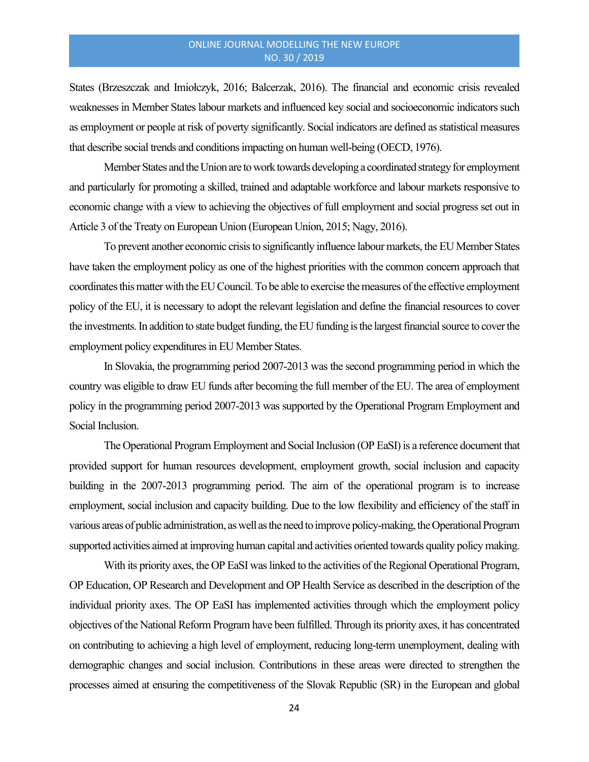States (Brzeszczak and Imiołczyk, 2016; Balcerzak, 2016). The financial and economic crisis revealed weaknesses in Member States labour markets and influenced key social and socioeconomic indicators such as employment or people at risk of poverty significantly. Social indicators are defined as statistical measures that describe social trends and conditions impacting on human well-being (OECD, 1976).

Member States and the Union are to work towards developing a coordinated strategy for employment and particularly for promoting a skilled, trained and adaptable workforce and labour markets responsive to economic change with a view to achieving the objectives of full employment and social progress set out in Article 3 of the Treaty on European Union (European Union, 2015; Nagy, 2016).

To prevent another economic crisis to significantly influence labour markets, the EU Member States have taken the employment policy as one of the highest priorities with the common concern approach that coordinates this matter with the EU Council. To be able to exercise the measures of the effective employment policy of the EU, it is necessary to adopt the relevant legislation and define the financial resources to cover the investments. In addition to state budget funding, the EU funding is the largest financial source to cover the employment policy expenditures in EU Member States.

In Slovakia, the programming period 2007-2013 was the second programming period in which the country was eligible to draw EU funds after becoming the full member of the EU. The area of employment policy in the programming period 2007-2013 was supported by the Operational Program Employment and Social Inclusion.

The Operational Program Employment and Social Inclusion (OP EaSI) is a reference document that provided support for human resources development, employment growth, social inclusion and capacity building in the 2007-2013 programming period. The aim of the operational program is to increase employment, social inclusion and capacity building. Due to the low flexibility and efficiency of the staff in various areas of public administration, as well as the need to improve policy-making, the Operational Program supported activities aimed at improving human capital and activities oriented towards quality policy making.

With its priority axes, the OP EaSI was linked to the activities of the Regional Operational Program, OP Education, OP Research and Development and OP Health Service as described in the description of the individual priority axes. The OP EaSI has implemented activities through which the employment policy objectives of the National Reform Program have been fulfilled. Through its priority axes, it has concentrated on contributing to achieving a high level of employment, reducing long-term unemployment, dealing with demographic changes and social inclusion. Contributions in these areas were directed to strengthen the processes aimed at ensuring the competitiveness of the Slovak Republic (SR) in the European and global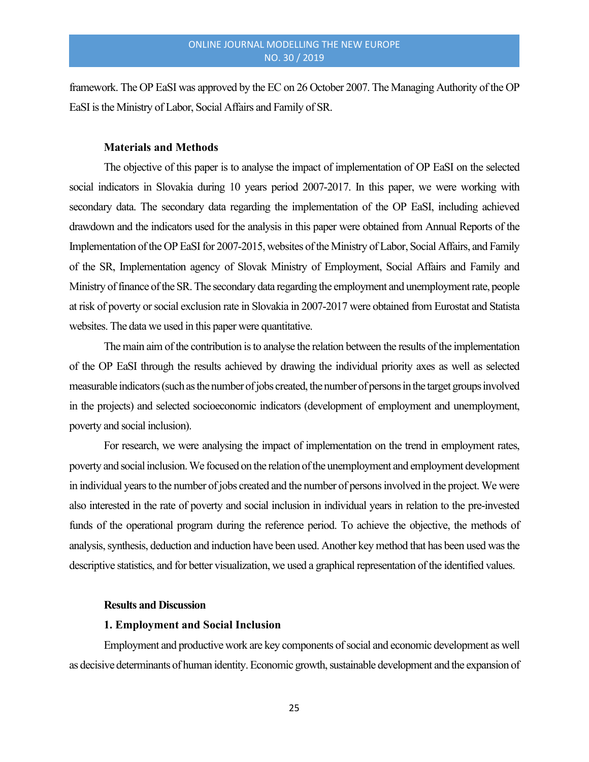framework. The OP EaSI was approved by the EC on 26 October 2007. The Managing Authority of the OP EaSI is the Ministry of Labor, Social Affairs and Family of SR.

#### Materials and Methods

The objective of this paper is to analyse the impact of implementation of OP EaSI on the selected social indicators in Slovakia during 10 years period 2007-2017. In this paper, we were working with secondary data. The secondary data regarding the implementation of the OP EaSI, including achieved drawdown and the indicators used for the analysis in this paper were obtained from Annual Reports of the Implementation of the OP EaSI for 2007-2015, websites of the Ministry of Labor, Social Affairs, and Family of the SR, Implementation agency of Slovak Ministry of Employment, Social Affairs and Family and Ministry of finance of the SR. The secondary data regarding the employment and unemployment rate, people at risk of poverty or social exclusion rate in Slovakia in 2007-2017 were obtained from Eurostat and Statista websites. The data we used in this paper were quantitative.

The main aim of the contribution is to analyse the relation between the results of the implementation of the OP EaSI through the results achieved by drawing the individual priority axes as well as selected measurable indicators (such as the number of jobs created, the number of persons in the target groups involved in the projects) and selected socioeconomic indicators (development of employment and unemployment, poverty and social inclusion).

For research, we were analysing the impact of implementation on the trend in employment rates, poverty and social inclusion. We focused on the relation of the unemployment and employment development in individual years to the number of jobs created and the number of persons involved in the project. We were also interested in the rate of poverty and social inclusion in individual years in relation to the pre-invested funds of the operational program during the reference period. To achieve the objective, the methods of analysis, synthesis, deduction and induction have been used. Another key method that has been used was the descriptive statistics, and for better visualization, we used a graphical representation of the identified values.

#### Results and Discussion

#### 1. Employment and Social Inclusion

Employment and productive work are key components of social and economic development as well as decisive determinants of human identity. Economic growth, sustainable development and the expansion of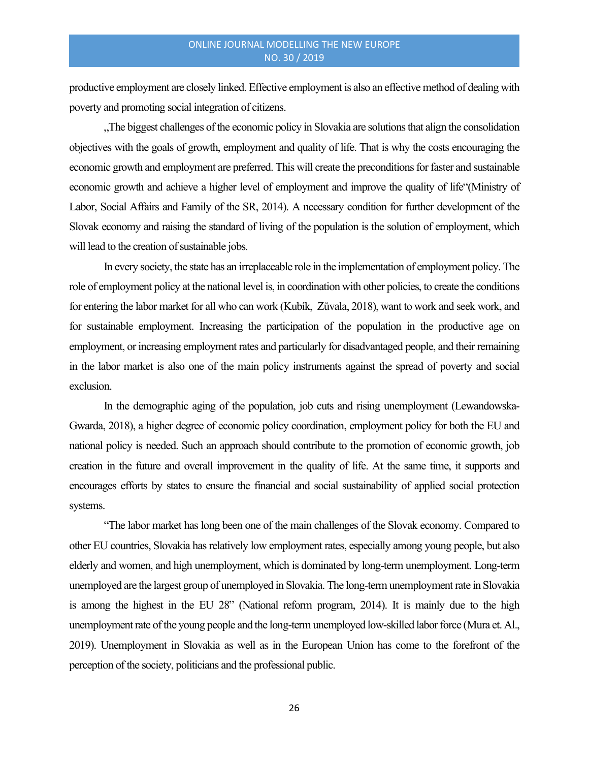productive employment are closely linked. Effective employment is also an effective method of dealing with poverty and promoting social integration of citizens.

"The biggest challenges of the economic policy in Slovakia are solutions that align the consolidation objectives with the goals of growth, employment and quality of life. That is why the costs encouraging the economic growth and employment are preferred. This will create the preconditions for faster and sustainable economic growth and achieve a higher level of employment and improve the quality of life"(Ministry of Labor, Social Affairs and Family of the SR, 2014). A necessary condition for further development of the Slovak economy and raising the standard of living of the population is the solution of employment, which will lead to the creation of sustainable jobs.

In every society, the state has an irreplaceable role in the implementation of employment policy. The role of employment policy at the national level is, in coordination with other policies, to create the conditions for entering the labor market for all who can work (Kubík, Zůvala, 2018), want to work and seek work, and for sustainable employment. Increasing the participation of the population in the productive age on employment, or increasing employment rates and particularly for disadvantaged people, and their remaining in the labor market is also one of the main policy instruments against the spread of poverty and social exclusion.

In the demographic aging of the population, job cuts and rising unemployment (Lewandowska-Gwarda, 2018), a higher degree of economic policy coordination, employment policy for both the EU and national policy is needed. Such an approach should contribute to the promotion of economic growth, job creation in the future and overall improvement in the quality of life. At the same time, it supports and encourages efforts by states to ensure the financial and social sustainability of applied social protection systems.

"The labor market has long been one of the main challenges of the Slovak economy. Compared to other EU countries, Slovakia has relatively low employment rates, especially among young people, but also elderly and women, and high unemployment, which is dominated by long-term unemployment. Long-term unemployed are the largest group of unemployed in Slovakia. The long-term unemployment rate in Slovakia is among the highest in the EU 28" (National reform program, 2014). It is mainly due to the high unemployment rate of the young people and the long-term unemployed low-skilled labor force (Mura et. Al., 2019). Unemployment in Slovakia as well as in the European Union has come to the forefront of the perception of the society, politicians and the professional public.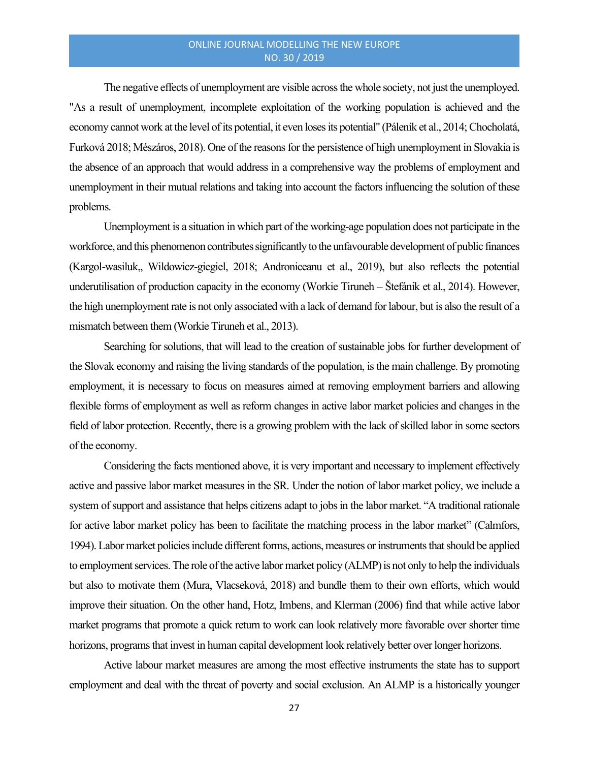The negative effects of unemployment are visible across the whole society, not just the unemployed. "As a result of unemployment, incomplete exploitation of the working population is achieved and the economy cannot work at the level of its potential, it even loses its potential" (Páleník et al., 2014; Chocholatá, Furková 2018; Mészáros, 2018). One of the reasons for the persistence of high unemployment in Slovakia is the absence of an approach that would address in a comprehensive way the problems of employment and unemployment in their mutual relations and taking into account the factors influencing the solution of these problems.

Unemployment is a situation in which part of the working-age population does not participate in the workforce, and this phenomenon contributes significantly to the unfavourable development of public finances (Kargol-wasiluk,, Wildowicz-giegiel, 2018; Androniceanu et al., 2019), but also reflects the potential underutilisation of production capacity in the economy (Workie Tiruneh – Štefánik et al., 2014). However, the high unemployment rate is not only associated with a lack of demand for labour, but is also the result of a mismatch between them (Workie Tiruneh et al., 2013).

Searching for solutions, that will lead to the creation of sustainable jobs for further development of the Slovak economy and raising the living standards of the population, is the main challenge. By promoting employment, it is necessary to focus on measures aimed at removing employment barriers and allowing flexible forms of employment as well as reform changes in active labor market policies and changes in the field of labor protection. Recently, there is a growing problem with the lack of skilled labor in some sectors of the economy.

Considering the facts mentioned above, it is very important and necessary to implement effectively active and passive labor market measures in the SR. Under the notion of labor market policy, we include a system of support and assistance that helps citizens adapt to jobs in the labor market. "A traditional rationale for active labor market policy has been to facilitate the matching process in the labor market" (Calmfors, 1994). Labor market policies include different forms, actions, measures or instruments that should be applied to employment services. The role of the active labor market policy (ALMP) is not only to help the individuals but also to motivate them (Mura, Vlacseková, 2018) and bundle them to their own efforts, which would improve their situation. On the other hand, Hotz, Imbens, and Klerman (2006) find that while active labor market programs that promote a quick return to work can look relatively more favorable over shorter time horizons, programs that invest in human capital development look relatively better over longer horizons.

Active labour market measures are among the most effective instruments the state has to support employment and deal with the threat of poverty and social exclusion. An ALMP is a historically younger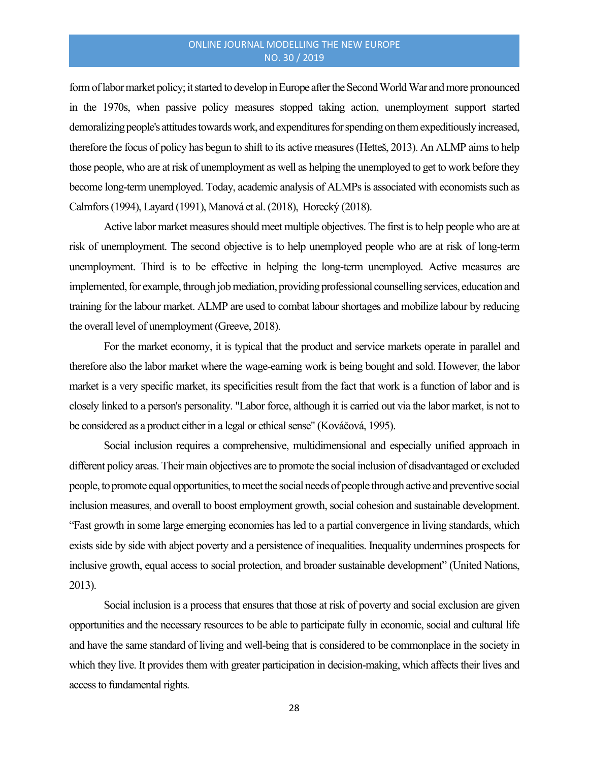form of labor market policy; it started to develop in Europe after the Second World War and more pronounced in the 1970s, when passive policy measures stopped taking action, unemployment support started demoralizing people's attitudes towards work, and expenditures for spending on them expeditiously increased, therefore the focus of policy has begun to shift to its active measures (Hetteš, 2013). An ALMP aims to help those people, who are at risk of unemployment as well as helping the unemployed to get to work before they become long-term unemployed. Today, academic analysis of ALMPs is associated with economists such as Calmfors (1994), Layard (1991), Manová et al. (2018), Horecký (2018).

Active labor market measures should meet multiple objectives. The first is to help people who are at risk of unemployment. The second objective is to help unemployed people who are at risk of long-term unemployment. Third is to be effective in helping the long-term unemployed. Active measures are implemented, for example, through job mediation, providing professional counselling services, education and training for the labour market. ALMP are used to combat labour shortages and mobilize labour by reducing the overall level of unemployment (Greeve, 2018).

For the market economy, it is typical that the product and service markets operate in parallel and therefore also the labor market where the wage-earning work is being bought and sold. However, the labor market is a very specific market, its specificities result from the fact that work is a function of labor and is closely linked to a person's personality. "Labor force, although it is carried out via the labor market, is not to be considered as a product either in a legal or ethical sense" (Kováčová, 1995).

Social inclusion requires a comprehensive, multidimensional and especially unified approach in different policy areas. Their main objectives are to promote the social inclusion of disadvantaged or excluded people, to promote equal opportunities, to meet the social needs of people through active and preventive social inclusion measures, and overall to boost employment growth, social cohesion and sustainable development. "Fast growth in some large emerging economies has led to a partial convergence in living standards, which exists side by side with abject poverty and a persistence of inequalities. Inequality undermines prospects for inclusive growth, equal access to social protection, and broader sustainable development" (United Nations, 2013).

Social inclusion is a process that ensures that those at risk of poverty and social exclusion are given opportunities and the necessary resources to be able to participate fully in economic, social and cultural life and have the same standard of living and well-being that is considered to be commonplace in the society in which they live. It provides them with greater participation in decision-making, which affects their lives and access to fundamental rights.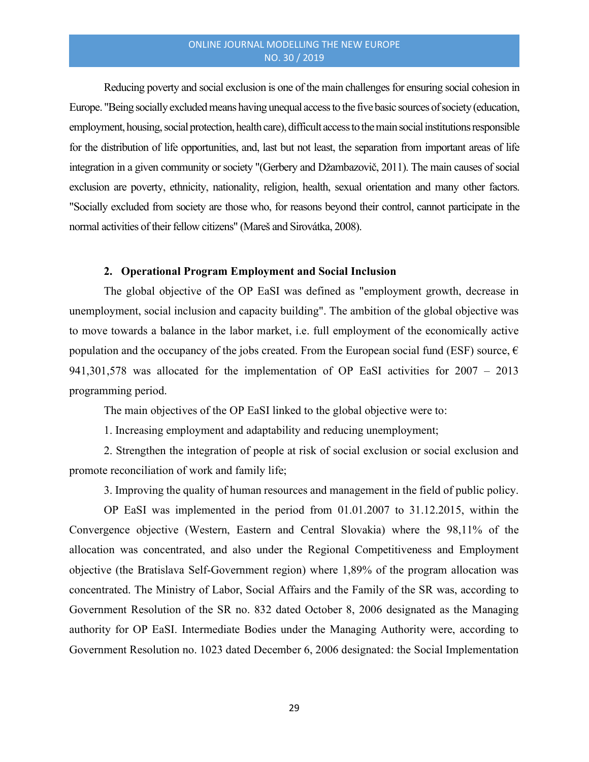Reducing poverty and social exclusion is one of the main challenges for ensuring social cohesion in Europe. "Being socially excluded means having unequal access to the five basic sources of society (education, employment, housing, social protection, health care), difficult access to the main social institutions responsible for the distribution of life opportunities, and, last but not least, the separation from important areas of life integration in a given community or society "(Gerbery and Džambazovič, 2011). The main causes of social exclusion are poverty, ethnicity, nationality, religion, health, sexual orientation and many other factors. "Socially excluded from society are those who, for reasons beyond their control, cannot participate in the normal activities of their fellow citizens" (Mareš and Sirovátka, 2008).

#### 2. Operational Program Employment and Social Inclusion

The global objective of the OP EaSI was defined as "employment growth, decrease in unemployment, social inclusion and capacity building". The ambition of the global objective was to move towards a balance in the labor market, i.e. full employment of the economically active population and the occupancy of the jobs created. From the European social fund (ESF) source,  $\epsilon$ 941,301,578 was allocated for the implementation of OP EaSI activities for 2007 – 2013 programming period.

The main objectives of the OP EaSI linked to the global objective were to:

1. Increasing employment and adaptability and reducing unemployment;

2. Strengthen the integration of people at risk of social exclusion or social exclusion and promote reconciliation of work and family life;

3. Improving the quality of human resources and management in the field of public policy.

OP EaSI was implemented in the period from 01.01.2007 to 31.12.2015, within the Convergence objective (Western, Eastern and Central Slovakia) where the 98,11% of the allocation was concentrated, and also under the Regional Competitiveness and Employment objective (the Bratislava Self-Government region) where 1,89% of the program allocation was concentrated. The Ministry of Labor, Social Affairs and the Family of the SR was, according to Government Resolution of the SR no. 832 dated October 8, 2006 designated as the Managing authority for OP EaSI. Intermediate Bodies under the Managing Authority were, according to Government Resolution no. 1023 dated December 6, 2006 designated: the Social Implementation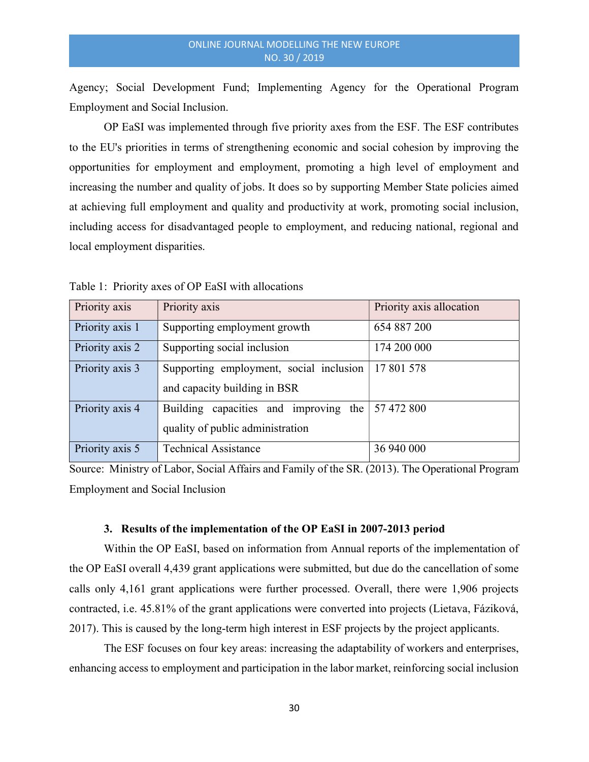Agency; Social Development Fund; Implementing Agency for the Operational Program Employment and Social Inclusion.

OP EaSI was implemented through five priority axes from the ESF. The ESF contributes to the EU's priorities in terms of strengthening economic and social cohesion by improving the opportunities for employment and employment, promoting a high level of employment and increasing the number and quality of jobs. It does so by supporting Member State policies aimed at achieving full employment and quality and productivity at work, promoting social inclusion, including access for disadvantaged people to employment, and reducing national, regional and local employment disparities.

| Priority axis   | Priority axis                           | Priority axis allocation |
|-----------------|-----------------------------------------|--------------------------|
| Priority axis 1 | Supporting employment growth            | 654 887 200              |
| Priority axis 2 | Supporting social inclusion             | 174 200 000              |
| Priority axis 3 | Supporting employment, social inclusion | 17 801 578               |
|                 | and capacity building in BSR            |                          |
| Priority axis 4 | Building capacities and improving the   | 57 472 800               |
|                 | quality of public administration        |                          |
| Priority axis 5 | <b>Technical Assistance</b>             | 36 940 000               |

Table 1: Priority axes of OP EaSI with allocations

Source: Ministry of Labor, Social Affairs and Family of the SR. (2013). The Operational Program Employment and Social Inclusion

#### 3. Results of the implementation of the OP EaSI in 2007-2013 period

Within the OP EaSI, based on information from Annual reports of the implementation of the OP EaSI overall 4,439 grant applications were submitted, but due do the cancellation of some calls only 4,161 grant applications were further processed. Overall, there were 1,906 projects contracted, i.e. 45.81% of the grant applications were converted into projects (Lietava, Fáziková, 2017). This is caused by the long-term high interest in ESF projects by the project applicants.

The ESF focuses on four key areas: increasing the adaptability of workers and enterprises, enhancing access to employment and participation in the labor market, reinforcing social inclusion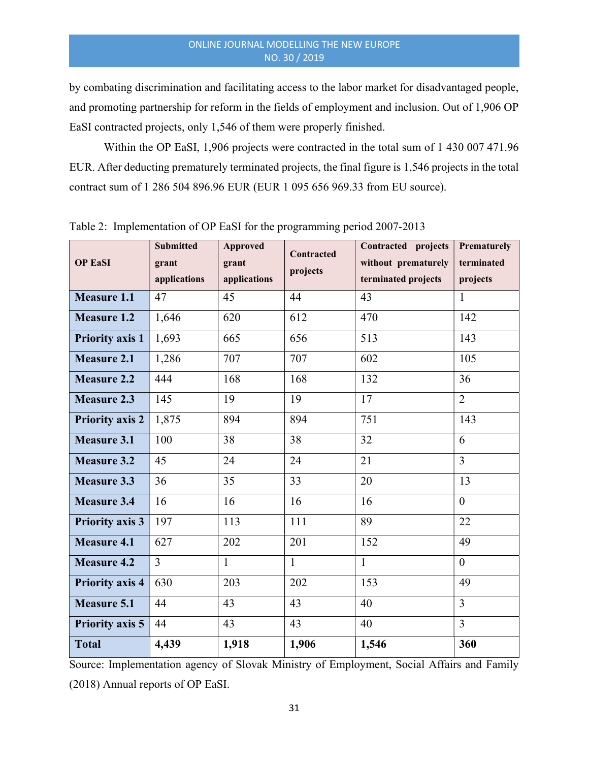by combating discrimination and facilitating access to the labor market for disadvantaged people, and promoting partnership for reform in the fields of employment and inclusion. Out of 1,906 OP EaSI contracted projects, only 1,546 of them were properly finished.

Within the OP EaSI, 1,906 projects were contracted in the total sum of 1 430 007 471.96 EUR. After deducting prematurely terminated projects, the final figure is 1,546 projects in the total contract sum of 1 286 504 896.96 EUR (EUR 1 095 656 969.33 from EU source).

| <b>OP EaSI</b>         | <b>Submitted</b><br><b>Approved</b><br>grant<br>grant<br>applications<br>applications |              | Contracted<br>projects | Contracted projects<br>without prematurely<br>terminated projects | Prematurely<br>terminated<br>projects |  |
|------------------------|---------------------------------------------------------------------------------------|--------------|------------------------|-------------------------------------------------------------------|---------------------------------------|--|
| <b>Measure 1.1</b>     | 47                                                                                    | 45           | 44                     | 43                                                                | $\mathbf{1}$                          |  |
| <b>Measure 1.2</b>     | 1,646                                                                                 | 620          | 612                    | 470                                                               | 142                                   |  |
| <b>Priority axis 1</b> | 1,693                                                                                 | 665          | 656                    | 513                                                               | 143                                   |  |
| <b>Measure 2.1</b>     | 1,286                                                                                 | 707          | 707                    | 602                                                               | 105                                   |  |
| <b>Measure 2.2</b>     | 444                                                                                   | 168          | 168                    | 132                                                               | 36                                    |  |
| <b>Measure 2.3</b>     | 145                                                                                   | 19           | 19                     | 17                                                                | $\overline{2}$                        |  |
| <b>Priority axis 2</b> | 1,875                                                                                 | 894          | 894                    | 751                                                               | 143                                   |  |
| <b>Measure 3.1</b>     | 100                                                                                   | 38           | 38                     | 32                                                                | 6                                     |  |
| <b>Measure 3.2</b>     | 45                                                                                    | 24           | 24                     | 21                                                                | $\overline{3}$                        |  |
| <b>Measure 3.3</b>     | 36                                                                                    | 35           | 33                     | 20                                                                | 13                                    |  |
| <b>Measure 3.4</b>     | 16                                                                                    | 16           | 16                     | 16                                                                | $\theta$                              |  |
| <b>Priority axis 3</b> | 197                                                                                   | 113          | 111                    | 89                                                                | 22                                    |  |
| <b>Measure 4.1</b>     | 627                                                                                   | 202          | 201                    | 152                                                               | 49                                    |  |
| <b>Measure 4.2</b>     | $\overline{3}$                                                                        | $\mathbf{1}$ | $\mathbf{1}$           | $\mathbf{1}$                                                      | $\overline{0}$                        |  |
| <b>Priority axis 4</b> | 630                                                                                   | 203          | 202                    | 153                                                               | 49                                    |  |
| <b>Measure 5.1</b>     | 44                                                                                    | 43           | 43                     | 40                                                                | $\overline{3}$                        |  |
| <b>Priority axis 5</b> | 44                                                                                    | 43           | 43                     | 40                                                                | $\overline{3}$                        |  |
| <b>Total</b>           | 4,439                                                                                 | 1,918        | 1,906                  | 1,546                                                             | 360                                   |  |

Table 2: Implementation of OP EaSI for the programming period 2007-2013

Source: Implementation agency of Slovak Ministry of Employment, Social Affairs and Family (2018) Annual reports of OP EaSI.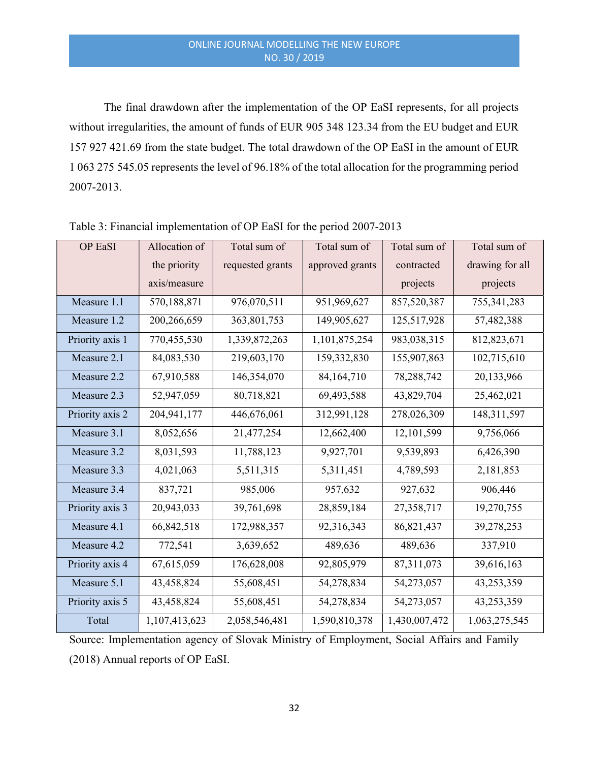The final drawdown after the implementation of the OP EaSI represents, for all projects without irregularities, the amount of funds of EUR 905 348 123.34 from the EU budget and EUR 157 927 421.69 from the state budget. The total drawdown of the OP EaSI in the amount of EUR 1 063 275 545.05 represents the level of 96.18% of the total allocation for the programming period 2007-2013.

| OP EaSI         | Allocation of | Total sum of     | Total sum of    | Total sum of  | Total sum of    |  |  |
|-----------------|---------------|------------------|-----------------|---------------|-----------------|--|--|
|                 | the priority  | requested grants | approved grants | contracted    | drawing for all |  |  |
|                 | axis/measure  |                  |                 | projects      | projects        |  |  |
| Measure 1.1     | 570,188,871   | 976,070,511      | 951,969,627     | 857,520,387   | 755, 341, 283   |  |  |
| Measure 1.2     | 200,266,659   | 363,801,753      | 149,905,627     | 125,517,928   | 57,482,388      |  |  |
| Priority axis 1 | 770,455,530   | 1,339,872,263    | 1,101,875,254   | 983,038,315   | 812,823,671     |  |  |
| Measure 2.1     | 84,083,530    | 219,603,170      | 159,332,830     | 155,907,863   | 102,715,610     |  |  |
| Measure 2.2     | 67,910,588    | 146,354,070      | 84,164,710      | 78,288,742    | 20,133,966      |  |  |
| Measure 2.3     | 52,947,059    | 80,718,821       | 69,493,588      | 43,829,704    | 25,462,021      |  |  |
| Priority axis 2 | 204,941,177   | 446,676,061      | 312,991,128     | 278,026,309   | 148,311,597     |  |  |
| Measure 3.1     | 8,052,656     | 21,477,254       | 12,662,400      | 12,101,599    | 9,756,066       |  |  |
| Measure 3.2     | 8,031,593     | 11,788,123       | 9,927,701       | 9,539,893     | 6,426,390       |  |  |
| Measure 3.3     | 4,021,063     | 5,511,315        | 5,311,451       | 4,789,593     | 2,181,853       |  |  |
| Measure 3.4     | 837,721       | 985,006          | 957,632         | 927,632       | 906,446         |  |  |
| Priority axis 3 | 20,943,033    | 39,761,698       | 28,859,184      | 27,358,717    | 19,270,755      |  |  |
| Measure 4.1     | 66,842,518    | 172,988,357      | 92,316,343      | 86, 821, 437  | 39,278,253      |  |  |
| Measure 4.2     | 772,541       | 3,639,652        | 489,636         | 489,636       | 337,910         |  |  |
| Priority axis 4 | 67,615,059    | 176,628,008      | 92,805,979      | 87,311,073    | 39,616,163      |  |  |
| Measure 5.1     | 43,458,824    | 55,608,451       | 54,278,834      | 54,273,057    | 43,253,359      |  |  |
| Priority axis 5 | 43,458,824    | 55,608,451       | 54,278,834      | 54,273,057    | 43,253,359      |  |  |
| Total           | 1,107,413,623 | 2,058,546,481    | 1,590,810,378   | 1,430,007,472 | 1,063,275,545   |  |  |

Table 3: Financial implementation of OP EaSI for the period 2007-2013

Source: Implementation agency of Slovak Ministry of Employment, Social Affairs and Family (2018) Annual reports of OP EaSI.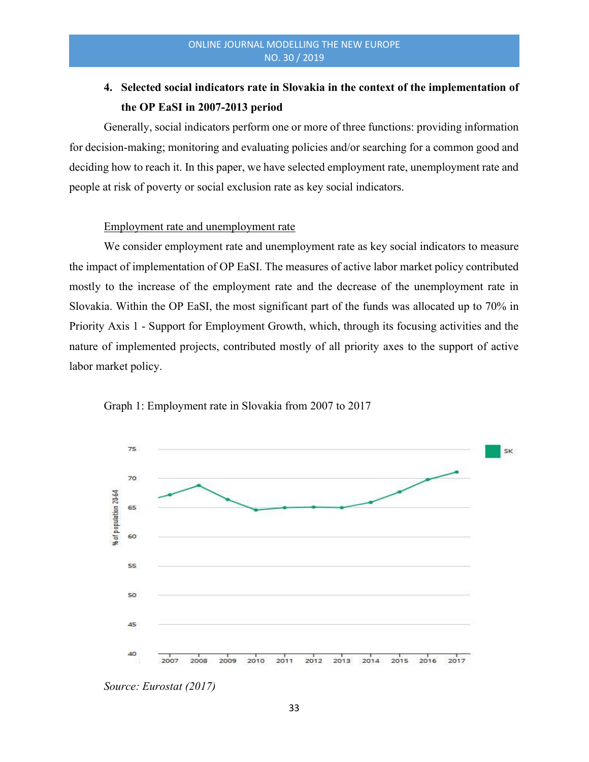# 4. Selected social indicators rate in Slovakia in the context of the implementation of the OP EaSI in 2007-2013 period

Generally, social indicators perform one or more of three functions: providing information for decision-making; monitoring and evaluating policies and/or searching for a common good and deciding how to reach it. In this paper, we have selected employment rate, unemployment rate and people at risk of poverty or social exclusion rate as key social indicators.

# Employment rate and unemployment rate

We consider employment rate and unemployment rate as key social indicators to measure the impact of implementation of OP EaSI. The measures of active labor market policy contributed mostly to the increase of the employment rate and the decrease of the unemployment rate in Slovakia. Within the OP EaSI, the most significant part of the funds was allocated up to 70% in Priority Axis 1 - Support for Employment Growth, which, through its focusing activities and the nature of implemented projects, contributed mostly of all priority axes to the support of active labor market policy.



Graph 1: Employment rate in Slovakia from 2007 to 2017

Source: Eurostat (2017)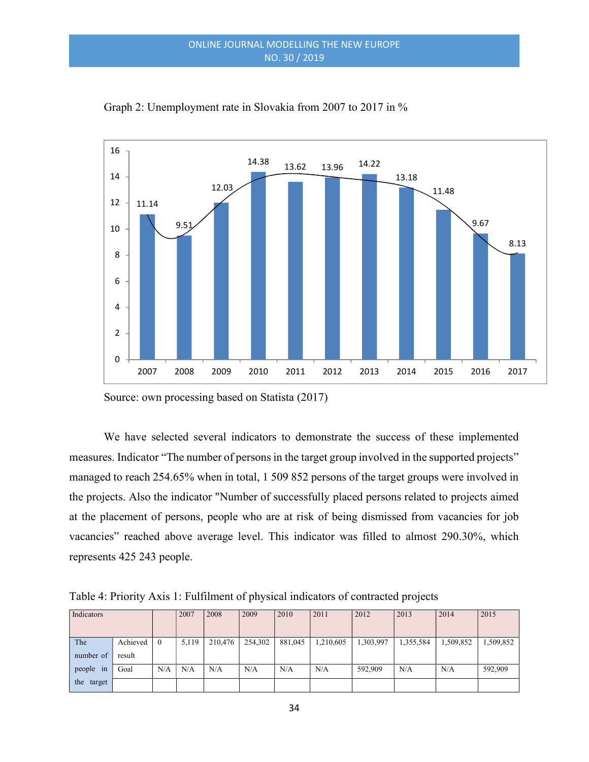

Graph 2: Unemployment rate in Slovakia from 2007 to 2017 in %

Source: own processing based on Statista (2017)

We have selected several indicators to demonstrate the success of these implemented measures. Indicator "The number of persons in the target group involved in the supported projects" managed to reach 254.65% when in total, 1 509 852 persons of the target groups were involved in the projects. Also the indicator "Number of successfully placed persons related to projects aimed at the placement of persons, people who are at risk of being dismissed from vacancies for job vacancies" reached above average level. This indicator was filled to almost 290.30%, which represents 425 243 people.

| Indicators |          |          | 2007  | 2008    | 2009    | 2010    | 2011      | 2012      | 2013      | 2014      | 2015      |
|------------|----------|----------|-------|---------|---------|---------|-----------|-----------|-----------|-----------|-----------|
|            |          |          |       |         |         |         |           |           |           |           |           |
| The        | Achieved | $\theta$ | 5,119 | 210,476 | 254,302 | 881,045 | 1,210,605 | 1,303,997 | 1,355,584 | 1,509,852 | 1,509,852 |
| number of  | result   |          |       |         |         |         |           |           |           |           |           |
| people in  | Goal     | N/A      | N/A   | N/A     | N/A     | N/A     | N/A       | 592,909   | N/A       | N/A       | 592,909   |
| the target |          |          |       |         |         |         |           |           |           |           |           |

Table 4: Priority Axis 1: Fulfilment of physical indicators of contracted projects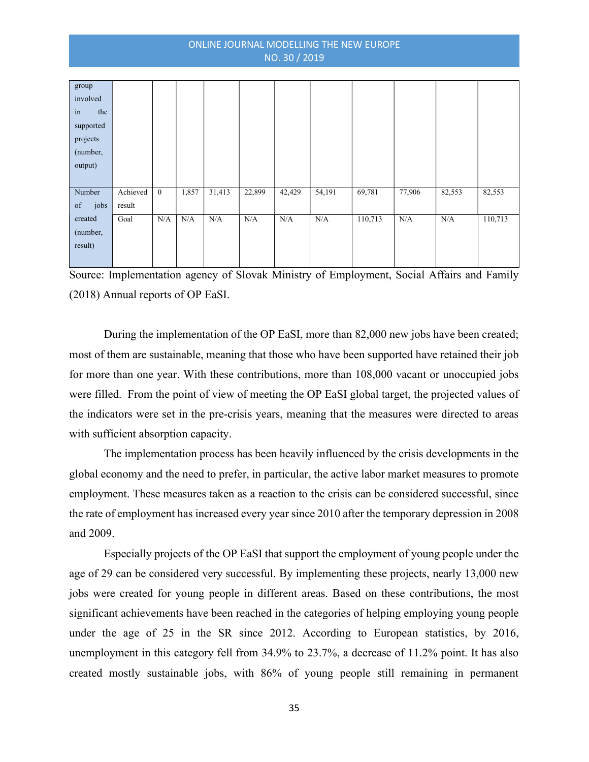| group      |          |              |       |        |        |        |        |         |        |        |         |
|------------|----------|--------------|-------|--------|--------|--------|--------|---------|--------|--------|---------|
| involved   |          |              |       |        |        |        |        |         |        |        |         |
| in<br>the  |          |              |       |        |        |        |        |         |        |        |         |
| supported  |          |              |       |        |        |        |        |         |        |        |         |
| projects   |          |              |       |        |        |        |        |         |        |        |         |
| (number,   |          |              |       |        |        |        |        |         |        |        |         |
| output)    |          |              |       |        |        |        |        |         |        |        |         |
|            |          |              |       |        |        |        |        |         |        |        |         |
| Number     | Achieved | $\mathbf{0}$ | 1,857 | 31,413 | 22,899 | 42,429 | 54,191 | 69,781  | 77,906 | 82,553 | 82,553  |
| jobs<br>of | result   |              |       |        |        |        |        |         |        |        |         |
| created    | Goal     | N/A          | N/A   | N/A    | N/A    | N/A    | N/A    | 110,713 | N/A    | N/A    | 110,713 |
| (number,   |          |              |       |        |        |        |        |         |        |        |         |
| result)    |          |              |       |        |        |        |        |         |        |        |         |
|            |          |              |       |        |        |        |        |         |        |        |         |

Source: Implementation agency of Slovak Ministry of Employment, Social Affairs and Family (2018) Annual reports of OP EaSI.

During the implementation of the OP EaSI, more than 82,000 new jobs have been created; most of them are sustainable, meaning that those who have been supported have retained their job for more than one year. With these contributions, more than 108,000 vacant or unoccupied jobs were filled. From the point of view of meeting the OP EaSI global target, the projected values of the indicators were set in the pre-crisis years, meaning that the measures were directed to areas with sufficient absorption capacity.

The implementation process has been heavily influenced by the crisis developments in the global economy and the need to prefer, in particular, the active labor market measures to promote employment. These measures taken as a reaction to the crisis can be considered successful, since the rate of employment has increased every year since 2010 after the temporary depression in 2008 and 2009.

Especially projects of the OP EaSI that support the employment of young people under the age of 29 can be considered very successful. By implementing these projects, nearly 13,000 new jobs were created for young people in different areas. Based on these contributions, the most significant achievements have been reached in the categories of helping employing young people under the age of 25 in the SR since 2012. According to European statistics, by 2016, unemployment in this category fell from 34.9% to 23.7%, a decrease of 11.2% point. It has also created mostly sustainable jobs, with 86% of young people still remaining in permanent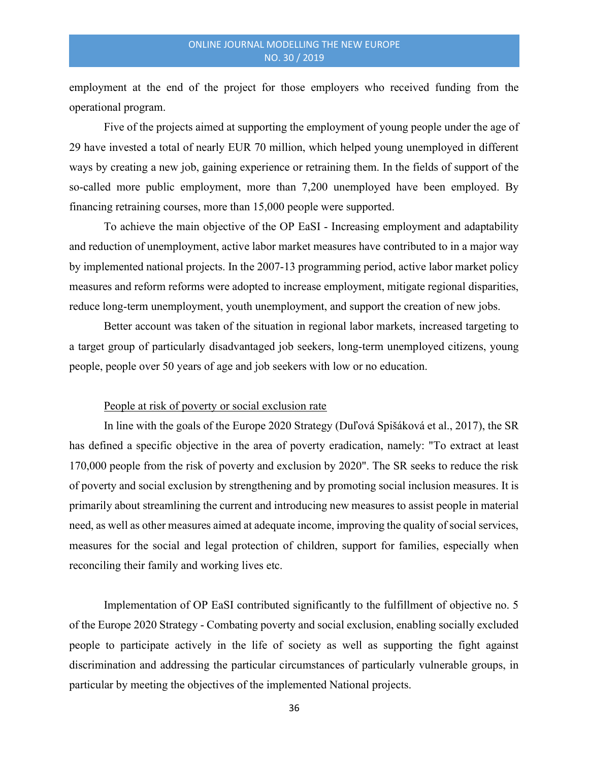employment at the end of the project for those employers who received funding from the operational program.

Five of the projects aimed at supporting the employment of young people under the age of 29 have invested a total of nearly EUR 70 million, which helped young unemployed in different ways by creating a new job, gaining experience or retraining them. In the fields of support of the so-called more public employment, more than 7,200 unemployed have been employed. By financing retraining courses, more than 15,000 people were supported.

To achieve the main objective of the OP EaSI - Increasing employment and adaptability and reduction of unemployment, active labor market measures have contributed to in a major way by implemented national projects. In the 2007-13 programming period, active labor market policy measures and reform reforms were adopted to increase employment, mitigate regional disparities, reduce long-term unemployment, youth unemployment, and support the creation of new jobs.

Better account was taken of the situation in regional labor markets, increased targeting to a target group of particularly disadvantaged job seekers, long-term unemployed citizens, young people, people over 50 years of age and job seekers with low or no education.

#### People at risk of poverty or social exclusion rate

In line with the goals of the Europe 2020 Strategy (Duľová Spišáková et al., 2017), the SR has defined a specific objective in the area of poverty eradication, namely: "To extract at least 170,000 people from the risk of poverty and exclusion by 2020". The SR seeks to reduce the risk of poverty and social exclusion by strengthening and by promoting social inclusion measures. It is primarily about streamlining the current and introducing new measures to assist people in material need, as well as other measures aimed at adequate income, improving the quality of social services, measures for the social and legal protection of children, support for families, especially when reconciling their family and working lives etc.

Implementation of OP EaSI contributed significantly to the fulfillment of objective no. 5 of the Europe 2020 Strategy - Combating poverty and social exclusion, enabling socially excluded people to participate actively in the life of society as well as supporting the fight against discrimination and addressing the particular circumstances of particularly vulnerable groups, in particular by meeting the objectives of the implemented National projects.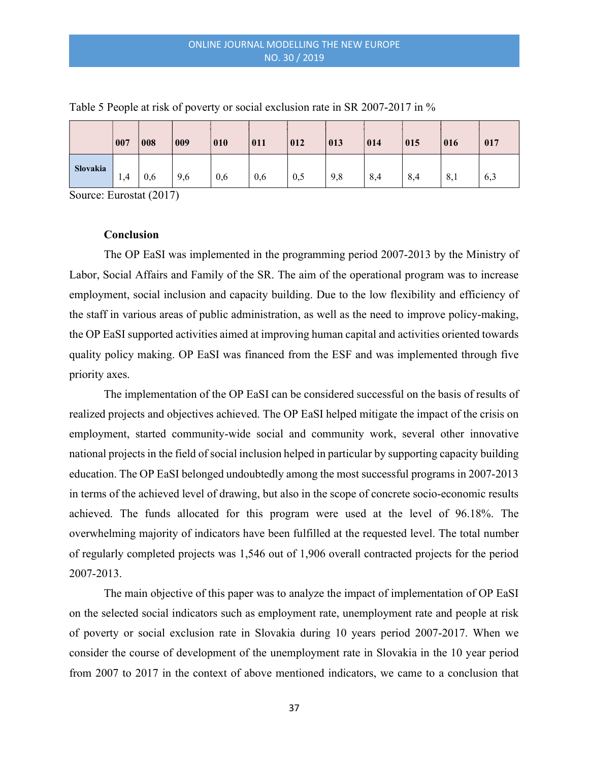|          | 007 | 008 | 009 | 010 | 011 | 012 | 013 | 014 | 015 | 016 | 017 |
|----------|-----|-----|-----|-----|-----|-----|-----|-----|-----|-----|-----|
| Slovakia | 1,4 | 0,6 | 9,6 | 0,6 | 0,6 | 0,5 | 9,8 | 8,4 | 8,4 | 8,1 | 6,3 |

Table 5 People at risk of poverty or social exclusion rate in SR 2007-2017 in %

Source: Eurostat (2017)

# **Conclusion**

The OP EaSI was implemented in the programming period 2007-2013 by the Ministry of Labor, Social Affairs and Family of the SR. The aim of the operational program was to increase employment, social inclusion and capacity building. Due to the low flexibility and efficiency of the staff in various areas of public administration, as well as the need to improve policy-making, the OP EaSI supported activities aimed at improving human capital and activities oriented towards quality policy making. OP EaSI was financed from the ESF and was implemented through five priority axes.

The implementation of the OP EaSI can be considered successful on the basis of results of realized projects and objectives achieved. The OP EaSI helped mitigate the impact of the crisis on employment, started community-wide social and community work, several other innovative national projects in the field of social inclusion helped in particular by supporting capacity building education. The OP EaSI belonged undoubtedly among the most successful programs in 2007-2013 in terms of the achieved level of drawing, but also in the scope of concrete socio-economic results achieved. The funds allocated for this program were used at the level of 96.18%. The overwhelming majority of indicators have been fulfilled at the requested level. The total number of regularly completed projects was 1,546 out of 1,906 overall contracted projects for the period 2007-2013.

The main objective of this paper was to analyze the impact of implementation of OP EaSI on the selected social indicators such as employment rate, unemployment rate and people at risk of poverty or social exclusion rate in Slovakia during 10 years period 2007-2017. When we consider the course of development of the unemployment rate in Slovakia in the 10 year period from 2007 to 2017 in the context of above mentioned indicators, we came to a conclusion that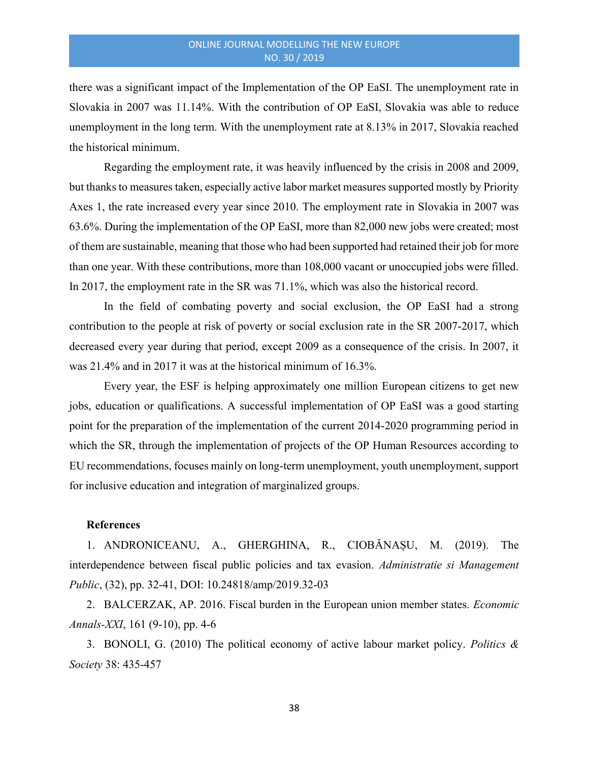there was a significant impact of the Implementation of the OP EaSI. The unemployment rate in Slovakia in 2007 was 11.14%. With the contribution of OP EaSI, Slovakia was able to reduce unemployment in the long term. With the unemployment rate at 8.13% in 2017, Slovakia reached the historical minimum.

Regarding the employment rate, it was heavily influenced by the crisis in 2008 and 2009, but thanks to measures taken, especially active labor market measures supported mostly by Priority Axes 1, the rate increased every year since 2010. The employment rate in Slovakia in 2007 was 63.6%. During the implementation of the OP EaSI, more than 82,000 new jobs were created; most of them are sustainable, meaning that those who had been supported had retained their job for more than one year. With these contributions, more than 108,000 vacant or unoccupied jobs were filled. In 2017, the employment rate in the SR was 71.1%, which was also the historical record.

In the field of combating poverty and social exclusion, the OP EaSI had a strong contribution to the people at risk of poverty or social exclusion rate in the SR 2007-2017, which decreased every year during that period, except 2009 as a consequence of the crisis. In 2007, it was 21.4% and in 2017 it was at the historical minimum of 16.3%.

Every year, the ESF is helping approximately one million European citizens to get new jobs, education or qualifications. A successful implementation of OP EaSI was a good starting point for the preparation of the implementation of the current 2014-2020 programming period in which the SR, through the implementation of projects of the OP Human Resources according to EU recommendations, focuses mainly on long-term unemployment, youth unemployment, support for inclusive education and integration of marginalized groups.

#### References

1. ANDRONICEANU, A., GHERGHINA, R., CIOBĂNAȘU, M. (2019). The interdependence between fiscal public policies and tax evasion. Administratie si Management Public, (32), pp. 32-41, DOI: 10.24818/amp/2019.32-03

2. BALCERZAK, AP. 2016. Fiscal burden in the European union member states. *Economic* Annals-XXI, 161 (9-10), pp. 4-6

3. BONOLI, G. (2010) The political economy of active labour market policy. Politics  $\&$ Society 38: 435-457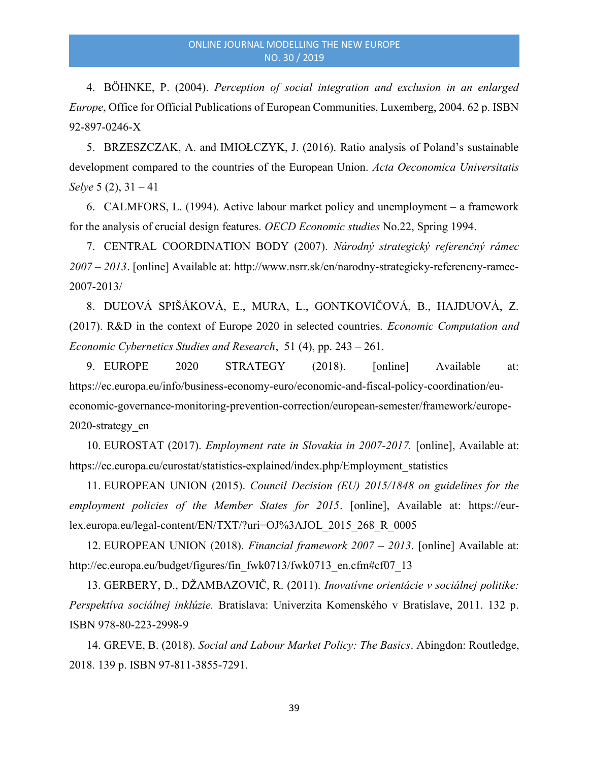4. BÖHNKE, P. (2004). Perception of social integration and exclusion in an enlarged Europe, Office for Official Publications of European Communities, Luxemberg, 2004. 62 p. ISBN 92-897-0246-X

5. BRZESZCZAK, A. and IMIOŁCZYK, J. (2016). Ratio analysis of Poland's sustainable development compared to the countries of the European Union. Acta Oeconomica Universitatis Selye  $5(2)$ ,  $31 - 41$ 

6. CALMFORS, L. (1994). Active labour market policy and unemployment – a framework for the analysis of crucial design features. OECD Economic studies No.22, Spring 1994.

7. CENTRAL COORDINATION BODY (2007). Národný strategický referenčný rámec 2007 – 2013. [online] Available at: http://www.nsrr.sk/en/narodny-strategicky-referencny-ramec-2007-2013/

8. DUĽOVÁ SPIŠÁKOVÁ, E., MURA, L., GONTKOVIČOVÁ, B., HAJDUOVÁ, Z. (2017). R&D in the context of Europe 2020 in selected countries. Economic Computation and Economic Cybernetics Studies and Research, 51 (4), pp. 243 – 261.

9. EUROPE 2020 STRATEGY (2018). [online] Available at: https://ec.europa.eu/info/business-economy-euro/economic-and-fiscal-policy-coordination/eueconomic-governance-monitoring-prevention-correction/european-semester/framework/europe-2020-strategy\_en

10. EUROSTAT (2017). Employment rate in Slovakia in 2007-2017. [online], Available at: https://ec.europa.eu/eurostat/statistics-explained/index.php/Employment\_statistics

11. EUROPEAN UNION (2015). Council Decision (EU) 2015/1848 on guidelines for the employment policies of the Member States for 2015. [online], Available at: https://eurlex.europa.eu/legal-content/EN/TXT/?uri=OJ%3AJOL\_2015\_268\_R\_0005

12. EUROPEAN UNION (2018). Financial framework 2007 – 2013. [online] Available at: http://ec.europa.eu/budget/figures/fin\_fwk0713/fwk0713\_en.cfm#cf07\_13

13. GERBERY, D., DŽAMBAZOVIČ, R. (2011). Inovatívne orientácie v sociálnej politike: Perspektíva sociálnej inklúzie. Bratislava: Univerzita Komenského v Bratislave, 2011. 132 p. ISBN 978-80-223-2998-9

14. GREVE, B. (2018). Social and Labour Market Policy: The Basics. Abingdon: Routledge, 2018. 139 p. ISBN 97-811-3855-7291.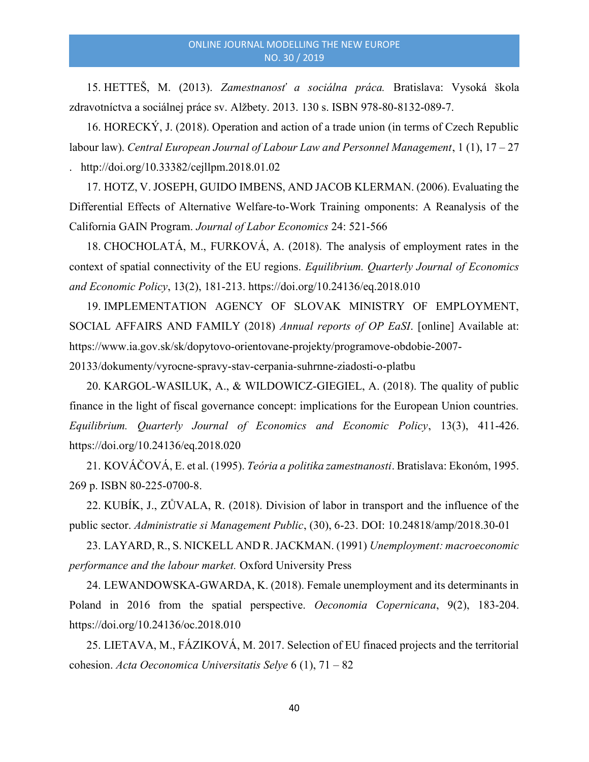15. HETTEŠ, M. (2013). Zamestnanosť a sociálna práca. Bratislava: Vysoká škola zdravotníctva a sociálnej práce sv. Alžbety. 2013. 130 s. ISBN 978-80-8132-089-7.

16. HORECKÝ, J. (2018). Operation and action of a trade union (in terms of Czech Republic labour law). Central European Journal of Labour Law and Personnel Management, 1 (1), 17 – 27 . http://doi.org/10.33382/cejllpm.2018.01.02

17. HOTZ, V. JOSEPH, GUIDO IMBENS, AND JACOB KLERMAN. (2006). Evaluating the Differential Effects of Alternative Welfare-to-Work Training omponents: A Reanalysis of the California GAIN Program. Journal of Labor Economics 24: 521-566

18. CHOCHOLATÁ, M., FURKOVÁ, A. (2018). The analysis of employment rates in the context of spatial connectivity of the EU regions. Equilibrium. Quarterly Journal of Economics and Economic Policy, 13(2), 181-213. https://doi.org/10.24136/eq.2018.010

19. IMPLEMENTATION AGENCY OF SLOVAK MINISTRY OF EMPLOYMENT, SOCIAL AFFAIRS AND FAMILY (2018) Annual reports of OP EaSI. [online] Available at: https://www.ia.gov.sk/sk/dopytovo-orientovane-projekty/programove-obdobie-2007- 20133/dokumenty/vyrocne-spravy-stav-cerpania-suhrnne-ziadosti-o-platbu

20. KARGOL-WASILUK, A., & WILDOWICZ-GIEGIEL, A. (2018). The quality of public finance in the light of fiscal governance concept: implications for the European Union countries. Equilibrium. Quarterly Journal of Economics and Economic Policy, 13(3), 411-426. https://doi.org/10.24136/eq.2018.020

21. KOVÁČOVÁ, E. et al. (1995). *Teória a politika zamestnanosti*. Bratislava: Ekonóm, 1995. 269 p. ISBN 80-225-0700-8.

22. KUBÍK, J., ZŮVALA, R. (2018). Division of labor in transport and the influence of the public sector. Administratie si Management Public, (30), 6-23. DOI: 10.24818/amp/2018.30-01

23. LAYARD, R., S. NICKELL AND R. JACKMAN. (1991) Unemployment: macroeconomic performance and the labour market. Oxford University Press

24. LEWANDOWSKA-GWARDA, K. (2018). Female unemployment and its determinants in Poland in 2016 from the spatial perspective. Oeconomia Copernicana, 9(2), 183-204. https://doi.org/10.24136/oc.2018.010

25. LIETAVA, M., FÁZIKOVÁ, M. 2017. Selection of EU finaced projects and the territorial cohesion. Acta Oeconomica Universitatis Selye 6 (1), 71 – 82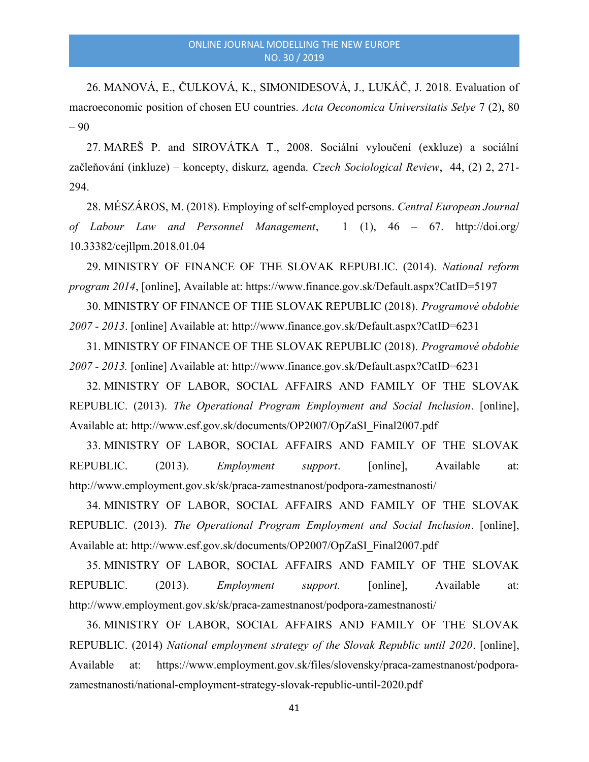26. MANOVÁ, E., ČULKOVÁ, K., SIMONIDESOVÁ, J., LUKÁČ, J. 2018. Evaluation of macroeconomic position of chosen EU countries. Acta Oeconomica Universitatis Selye 7 (2), 80 – 90

27. MAREŠ P. and SIROVÁTKA T., 2008. Sociální vyloučení (exkluze) a sociální začleňování (inkluze) – koncepty, diskurz, agenda. Czech Sociological Review, 44, (2) 2, 271- 294.

28. MÉSZÁROS, M. (2018). Employing of self-employed persons. Central European Journal of Labour Law and Personnel Management, 1 (1), 46 – 67. http://doi.org/ 10.33382/cejllpm.2018.01.04

29. MINISTRY OF FINANCE OF THE SLOVAK REPUBLIC. (2014). National reform program 2014, [online], Available at: https://www.finance.gov.sk/Default.aspx?CatID=5197

30. MINISTRY OF FINANCE OF THE SLOVAK REPUBLIC (2018). Programové obdobie 2007 - 2013. [online] Available at: http://www.finance.gov.sk/Default.aspx?CatID=6231

31. MINISTRY OF FINANCE OF THE SLOVAK REPUBLIC (2018). Programové obdobie 2007 - 2013. [online] Available at: http://www.finance.gov.sk/Default.aspx?CatID=6231

32. MINISTRY OF LABOR, SOCIAL AFFAIRS AND FAMILY OF THE SLOVAK REPUBLIC. (2013). The Operational Program Employment and Social Inclusion. [online], Available at: http://www.esf.gov.sk/documents/OP2007/OpZaSI\_Final2007.pdf

33. MINISTRY OF LABOR, SOCIAL AFFAIRS AND FAMILY OF THE SLOVAK REPUBLIC. (2013). *Employment support*. [online], Available at: http://www.employment.gov.sk/sk/praca-zamestnanost/podpora-zamestnanosti/

34. MINISTRY OF LABOR, SOCIAL AFFAIRS AND FAMILY OF THE SLOVAK REPUBLIC. (2013). The Operational Program Employment and Social Inclusion. [online], Available at: http://www.esf.gov.sk/documents/OP2007/OpZaSI\_Final2007.pdf

35. MINISTRY OF LABOR, SOCIAL AFFAIRS AND FAMILY OF THE SLOVAK REPUBLIC. (2013). *Employment support*. [online], Available at: http://www.employment.gov.sk/sk/praca-zamestnanost/podpora-zamestnanosti/

36. MINISTRY OF LABOR, SOCIAL AFFAIRS AND FAMILY OF THE SLOVAK REPUBLIC. (2014) National employment strategy of the Slovak Republic until 2020. [online], Available at: https://www.employment.gov.sk/files/slovensky/praca-zamestnanost/podporazamestnanosti/national-employment-strategy-slovak-republic-until-2020.pdf